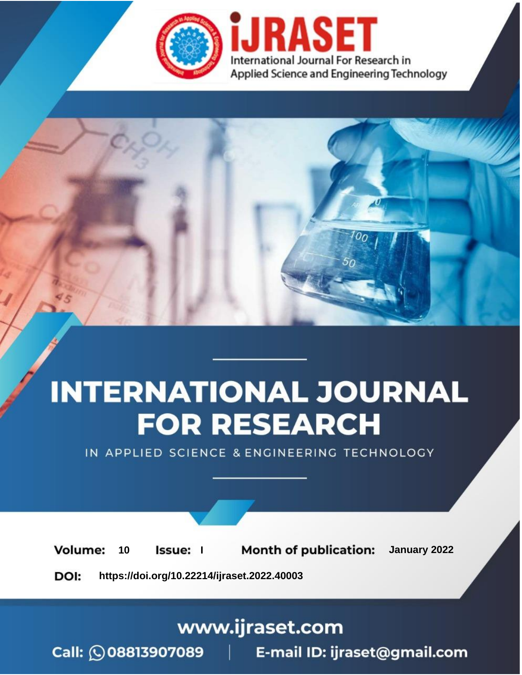

# **INTERNATIONAL JOURNAL FOR RESEARCH**

IN APPLIED SCIENCE & ENGINEERING TECHNOLOGY

**Month of publication:** January 2022 **Volume:** 10 **Issue:** I

DOI: https://doi.org/10.22214/ijraset.2022.40003

www.ijraset.com

Call: 008813907089 | E-mail ID: ijraset@gmail.com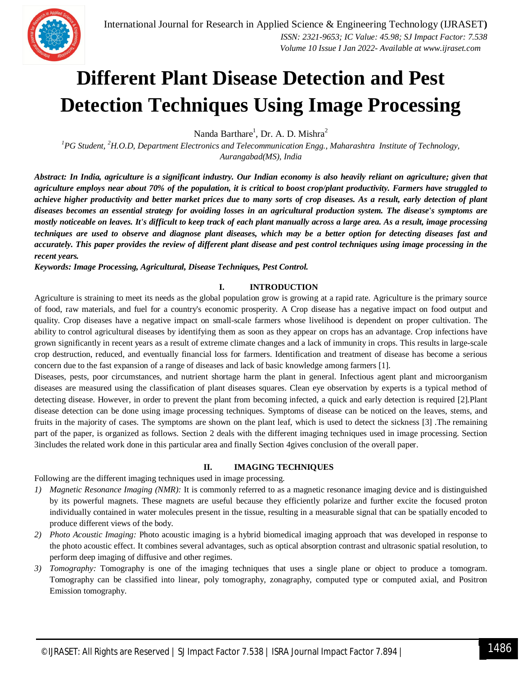

### **Different Plant Disease Detection and Pest Detection Techniques Using Image Processing**

Nanda Barthare<sup>1</sup>, Dr. A. D. Mishra<sup>2</sup>

*<sup>1</sup>PG Student, <sup>2</sup>H.O.D, Department Electronics and Telecommunication Engg., Maharashtra Institute of Technology, Aurangabad(MS), India*

*Abstract: In India, agriculture is a significant industry. Our Indian economy is also heavily reliant on agriculture; given that agriculture employs near about 70% of the population, it is critical to boost crop/plant productivity. Farmers have struggled to achieve higher productivity and better market prices due to many sorts of crop diseases. As a result, early detection of plant diseases becomes an essential strategy for avoiding losses in an agricultural production system. The disease's symptoms are mostly noticeable on leaves. It's difficult to keep track of each plant manually across a large area. As a result, image processing techniques are used to observe and diagnose plant diseases, which may be a better option for detecting diseases fast and accurately. This paper provides the review of different plant disease and pest control techniques using image processing in the recent years.*

*Keywords: Image Processing, Agricultural, Disease Techniques, Pest Control.*

#### **I. INTRODUCTION**

Agriculture is straining to meet its needs as the global population grow is growing at a rapid rate. Agriculture is the primary source of food, raw materials, and fuel for a country's economic prosperity. A Crop disease has a negative impact on food output and quality. Crop diseases have a negative impact on small-scale farmers whose livelihood is dependent on proper cultivation. The ability to control agricultural diseases by identifying them as soon as they appear on crops has an advantage. Crop infections have grown significantly in recent years as a result of extreme climate changes and a lack of immunity in crops. This results in large-scale crop destruction, reduced, and eventually financial loss for farmers. Identification and treatment of disease has become a serious concern due to the fast expansion of a range of diseases and lack of basic knowledge among farmers [1].

Diseases, pests, poor circumstances, and nutrient shortage harm the plant in general. Infectious agent plant and microorganism diseases are measured using the classification of plant diseases squares. Clean eye observation by experts is a typical method of detecting disease. However, in order to prevent the plant from becoming infected, a quick and early detection is required [2].Plant disease detection can be done using image processing techniques. Symptoms of disease can be noticed on the leaves, stems, and fruits in the majority of cases. The symptoms are shown on the plant leaf, which is used to detect the sickness [3] .The remaining part of the paper, is organized as follows. Section 2 deals with the different imaging techniques used in image processing. Section 3includes the related work done in this particular area and finally Section 4gives conclusion of the overall paper.

#### **II. IMAGING TECHNIQUES**

Following are the different imaging techniques used in image processing.

- *1) Magnetic Resonance Imaging (NMR):* It is commonly referred to as a magnetic resonance imaging device and is distinguished by its powerful magnets. These magnets are useful because they efficiently polarize and further excite the focused proton individually contained in water molecules present in the tissue, resulting in a measurable signal that can be spatially encoded to produce different views of the body.
- *2) Photo Acoustic Imaging:* Photo acoustic imaging is a hybrid biomedical imaging approach that was developed in response to the photo acoustic effect. It combines several advantages, such as optical absorption contrast and ultrasonic spatial resolution, to perform deep imaging of diffusive and other regimes.
- *3) Tomography:* Tomography is one of the imaging techniques that uses a single plane or object to produce a tomogram. Tomography can be classified into linear, poly tomography, zonagraphy, computed type or computed axial, and Positron Emission tomography.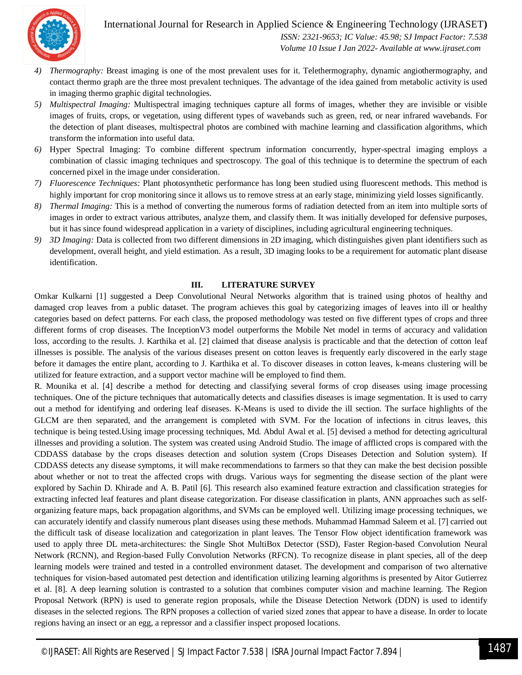#### International Journal for Research in Applied Science & Engineering Technology (IJRASET**)**



 *ISSN: 2321-9653; IC Value: 45.98; SJ Impact Factor: 7.538 Volume 10 Issue I Jan 2022- Available at www.ijraset.com*

- *4) Thermography:* Breast imaging is one of the most prevalent uses for it. Telethermography, dynamic angiothermography, and contact thermo graph are the three most prevalent techniques. The advantage of the idea gained from metabolic activity is used in imaging thermo graphic digital technologies.
- *5) Multispectral Imaging:* Multispectral imaging techniques capture all forms of images, whether they are invisible or visible images of fruits, crops, or vegetation, using different types of wavebands such as green, red, or near infrared wavebands. For the detection of plant diseases, multispectral photos are combined with machine learning and classification algorithms, which transform the information into useful data.
- *6)* Hyper Spectral Imaging: To combine different spectrum information concurrently, hyper-spectral imaging employs a combination of classic imaging techniques and spectroscopy. The goal of this technique is to determine the spectrum of each concerned pixel in the image under consideration.
- *7) Fluorescence Techniques:* Plant photosynthetic performance has long been studied using fluorescent methods. This method is highly important for crop monitoring since it allows us to remove stress at an early stage, minimizing yield losses significantly.
- *8) Thermal Imaging:* This is a method of converting the numerous forms of radiation detected from an item into multiple sorts of images in order to extract various attributes, analyze them, and classify them. It was initially developed for defensive purposes, but it has since found widespread application in a variety of disciplines, including agricultural engineering techniques.
- *9) 3D Imaging:* Data is collected from two different dimensions in 2D imaging, which distinguishes given plant identifiers such as development, overall height, and yield estimation. As a result, 3D imaging looks to be a requirement for automatic plant disease identification.

#### **III. LITERATURE SURVEY**

Omkar Kulkarni [1] suggested a Deep Convolutional Neural Networks algorithm that is trained using photos of healthy and damaged crop leaves from a public dataset. The program achieves this goal by categorizing images of leaves into ill or healthy categories based on defect patterns. For each class, the proposed methodology was tested on five different types of crops and three different forms of crop diseases. The InceptionV3 model outperforms the Mobile Net model in terms of accuracy and validation loss, according to the results. J. Karthika et al. [2] claimed that disease analysis is practicable and that the detection of cotton leaf illnesses is possible. The analysis of the various diseases present on cotton leaves is frequently early discovered in the early stage before it damages the entire plant, according to J. Karthika et al. To discover diseases in cotton leaves, k-means clustering will be utilized for feature extraction, and a support vector machine will be employed to find them.

R. Mounika et al. [4] describe a method for detecting and classifying several forms of crop diseases using image processing techniques. One of the picture techniques that automatically detects and classifies diseases is image segmentation. It is used to carry out a method for identifying and ordering leaf diseases. K-Means is used to divide the ill section. The surface highlights of the GLCM are then separated, and the arrangement is completed with SVM. For the location of infections in citrus leaves, this technique is being tested.Using image processing techniques, Md. Abdul Awal et al. [5] devised a method for detecting agricultural illnesses and providing a solution. The system was created using Android Studio. The image of afflicted crops is compared with the CDDASS database by the crops diseases detection and solution system (Crops Diseases Detection and Solution system). If CDDASS detects any disease symptoms, it will make recommendations to farmers so that they can make the best decision possible about whether or not to treat the affected crops with drugs. Various ways for segmenting the disease section of the plant were explored by Sachin D. Khirade and A. B. Patil [6]. This research also examined feature extraction and classification strategies for extracting infected leaf features and plant disease categorization. For disease classification in plants, ANN approaches such as selforganizing feature maps, back propagation algorithms, and SVMs can be employed well. Utilizing image processing techniques, we can accurately identify and classify numerous plant diseases using these methods. Muhammad Hammad Saleem et al. [7] carried out the difficult task of disease localization and categorization in plant leaves. The Tensor Flow object identification framework was used to apply three DL meta-architectures: the Single Shot MultiBox Detector (SSD), Faster Region-based Convolution Neural Network (RCNN), and Region-based Fully Convolution Networks (RFCN). To recognize disease in plant species, all of the deep learning models were trained and tested in a controlled environment dataset. The development and comparison of two alternative techniques for vision-based automated pest detection and identification utilizing learning algorithms is presented by Aitor Gutierrez et al. [8]. A deep learning solution is contrasted to a solution that combines computer vision and machine learning. The Region Proposal Network (RPN) is used to generate region proposals, while the Disease Detection Network (DDN) is used to identify diseases in the selected regions. The RPN proposes a collection of varied sized zones that appear to have a disease. In order to locate regions having an insect or an egg, a repressor and a classifier inspect proposed locations.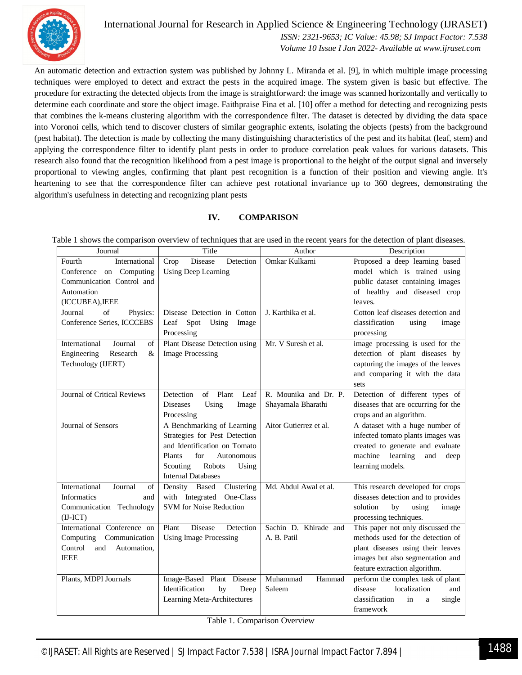

International Journal for Research in Applied Science & Engineering Technology (IJRASET**)**  *ISSN: 2321-9653; IC Value: 45.98; SJ Impact Factor: 7.538*

 *Volume 10 Issue I Jan 2022- Available at www.ijraset.com*

An automatic detection and extraction system was published by Johnny L. Miranda et al. [9], in which multiple image processing techniques were employed to detect and extract the pests in the acquired image. The system given is basic but effective. The procedure for extracting the detected objects from the image is straightforward: the image was scanned horizontally and vertically to determine each coordinate and store the object image. Faithpraise Fina et al. [10] offer a method for detecting and recognizing pests that combines the k-means clustering algorithm with the correspondence filter. The dataset is detected by dividing the data space into Voronoi cells, which tend to discover clusters of similar geographic extents, isolating the objects (pests) from the background (pest habitat). The detection is made by collecting the many distinguishing characteristics of the pest and its habitat (leaf, stem) and applying the correspondence filter to identify plant pests in order to produce correlation peak values for various datasets. This research also found that the recognition likelihood from a pest image is proportional to the height of the output signal and inversely proportional to viewing angles, confirming that plant pest recognition is a function of their position and viewing angle. It's heartening to see that the correspondence filter can achieve pest rotational invariance up to 360 degrees, demonstrating the algorithm's usefulness in detecting and recognizing plant pests

#### **IV. COMPARISON**

| Journal                         | Title                                | Author                 | Description                         |
|---------------------------------|--------------------------------------|------------------------|-------------------------------------|
| Fourth<br>International         | <b>Disease</b><br>Crop<br>Detection  | Omkar Kulkarni         | Proposed a deep learning based      |
| Conference on Computing         | <b>Using Deep Learning</b>           |                        | model which is trained using        |
| Communication Control and       |                                      |                        | public dataset containing images    |
| Automation                      |                                      |                        | of healthy and diseased crop        |
| (ICCUBEA), IEEE                 |                                      |                        | leaves.                             |
| of<br>Journal<br>Physics:       | Disease Detection in Cotton          | J. Karthika et al.     | Cotton leaf diseases detection and  |
| Conference Series, ICCCEBS      | Leaf Spot<br>Using Image             |                        | classification<br>using<br>image    |
|                                 | Processing                           |                        | processing                          |
| International<br>Journal<br>of  | Plant Disease Detection using        | Mr. V Suresh et al.    | image processing is used for the    |
| $\&$<br>Engineering<br>Research | <b>Image Processing</b>              |                        | detection of plant diseases by      |
| Technology (IJERT)              |                                      |                        | capturing the images of the leaves  |
|                                 |                                      |                        | and comparing it with the data      |
|                                 |                                      |                        | sets                                |
| Journal of Critical Reviews     | Plant<br>Detection<br>of<br>Leaf     | R. Mounika and Dr. P.  | Detection of different types of     |
|                                 | <b>Diseases</b><br>Using<br>Image    | Shayamala Bharathi     | diseases that are occurring for the |
|                                 | Processing                           |                        | crops and an algorithm.             |
| Journal of Sensors              | A Benchmarking of Learning           | Aitor Gutierrez et al. | A dataset with a huge number of     |
|                                 | Strategies for Pest Detection        |                        | infected tomato plants images was   |
|                                 | and Identification on Tomato         |                        | created to generate and evaluate    |
|                                 | Plants<br>for<br>Autonomous          |                        | machine learning<br>and<br>deep     |
|                                 | Robots<br>Scouting<br>Using          |                        | learning models.                    |
|                                 | <b>Internal Databases</b>            |                        |                                     |
| International<br>Journal<br>of  | Density Based<br>Clustering          | Md. Abdul Awal et al.  | This research developed for crops   |
| <b>Informatics</b><br>and       | with Integrated<br>One-Class         |                        | diseases detection and to provides  |
| Communication Technology        | <b>SVM</b> for Noise Reduction       |                        | solution<br>by<br>using<br>image    |
| $(II-ICT)$                      |                                      |                        | processing techniques.              |
| International Conference on     | <b>Disease</b><br>Detection<br>Plant | Sachin D. Khirade and  | This paper not only discussed the   |
| Computing<br>Communication      | <b>Using Image Processing</b>        | A. B. Patil            | methods used for the detection of   |
| Control<br>and<br>Automation,   |                                      |                        | plant diseases using their leaves   |
| <b>IEEE</b>                     |                                      |                        | images but also segmentation and    |
|                                 |                                      |                        | feature extraction algorithm.       |
| Plants, MDPI Journals           | Image-Based Plant Disease            | Muhammad<br>Hammad     | perform the complex task of plant   |
|                                 | Identification<br>by<br>Deep         | Saleem                 | disease<br>localization<br>and      |
|                                 | Learning Meta-Architectures          |                        | classification<br>in<br>single<br>a |
|                                 |                                      |                        | framework                           |

Table 1 shows the comparison overview of techniques that are used in the recent years for the detection of plant diseases.

Table 1. Comparison Overview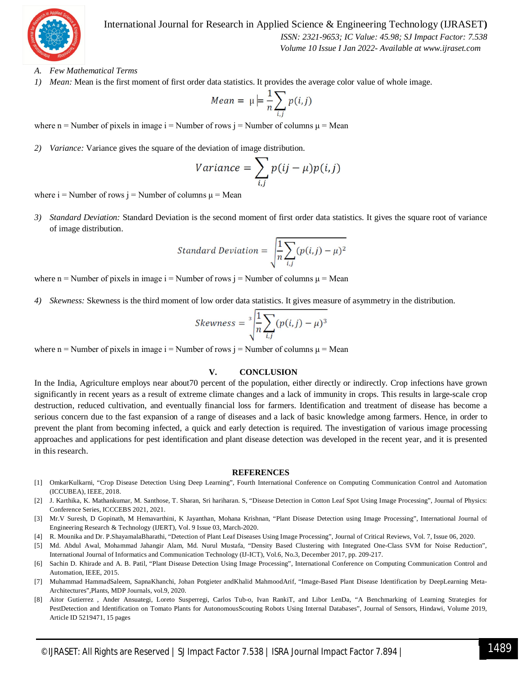

International Journal for Research in Applied Science & Engineering Technology (IJRASET**)**

 *ISSN: 2321-9653; IC Value: 45.98; SJ Impact Factor: 7.538 Volume 10 Issue I Jan 2022- Available at www.ijraset.com*

- *A. Few Mathematical Terms*
- *1) Mean:* Mean is the first moment of first order data statistics. It provides the average color value of whole image.

$$
Mean = \mu \models \frac{1}{n} \sum_{i,j} p(i,j)
$$

where n = Number of pixels in image  $i$  = Number of rows  $j$  = Number of columns  $\mu$  = Mean

*2) Variance:* Variance gives the square of the deviation of image distribution.

$$
Variance = \sum_{i,j} p(ij - \mu)p(i,j)
$$

where  $i =$  Number of rows  $j =$  Number of columns  $\mu =$  Mean

*3) Standard Deviation:* Standard Deviation is the second moment of first order data statistics. It gives the square root of variance of image distribution.

Standard Deviation = 
$$
\sqrt{\frac{1}{n} \sum_{i,j} (p(i,j) - \mu)^2}
$$

where n = Number of pixels in image  $i$  = Number of rows  $j$  = Number of columns  $\mu$  = Mean

*4) Skewness:* Skewness is the third moment of low order data statistics. It gives measure of asymmetry in the distribution.

$$
Skewness = \sqrt[3]{\frac{1}{n} \sum_{i,j} (p(i,j) - \mu)^3}
$$

where n = Number of pixels in image i = Number of rows j = Number of columns  $\mu$  = Mean

#### **V. CONCLUSION**

In the India, Agriculture employs near about70 percent of the population, either directly or indirectly. Crop infections have grown significantly in recent years as a result of extreme climate changes and a lack of immunity in crops. This results in large-scale crop destruction, reduced cultivation, and eventually financial loss for farmers. Identification and treatment of disease has become a serious concern due to the fast expansion of a range of diseases and a lack of basic knowledge among farmers. Hence, in order to prevent the plant from becoming infected, a quick and early detection is required. The investigation of various image processing approaches and applications for pest identification and plant disease detection was developed in the recent year, and it is presented in this research.

#### **REFERENCES**

- [1] OmkarKulkarni, "Crop Disease Detection Using Deep Learning", Fourth International Conference on Computing Communication Control and Automation (ICCUBEA), IEEE, 2018.
- [2] J. Karthika, K. Mathankumar, M. Santhose, T. Sharan, Sri hariharan. S, "Disease Detection in Cotton Leaf Spot Using Image Processing", Journal of Physics: Conference Series, ICCCEBS 2021, 2021.
- [3] Mr.V Suresh, D Gopinath, M Hemavarthini, K Jayanthan, Mohana Krishnan, "Plant Disease Detection using Image Processing", International Journal of Engineering Research & Technology (IJERT), Vol. 9 Issue 03, March-2020.
- [4] R. Mounika and Dr. P.ShayamalaBharathi, "Detection of Plant Leaf Diseases Using Image Processing", Journal of Critical Reviews, Vol. 7, Issue 06, 2020.
- [5] Md. Abdul Awal, Mohammad Jahangir Alam, Md. Nurul Mustafa, "Density Based Clustering with Integrated One-Class SVM for Noise Reduction", International Journal of Informatics and Communication Technology (IJ-ICT), Vol.6, No.3, December 2017, pp. 209-217.
- [6] Sachin D. Khirade and A. B. Patil, "Plant Disease Detection Using Image Processing", International Conference on Computing Communication Control and Automation, IEEE, 2015.
- [7] Muhammad HammadSaleem, SapnaKhanchi, Johan Potgieter andKhalid MahmoodArif, "Image-Based Plant Disease Identification by DeepLearning Meta-Architectures",Plants, MDP Journals, vol.9, 2020.
- [8] Aitor Gutierrez , Ander Ansuategi, Loreto Susperregi, Carlos Tub-o, Ivan RankiT, and Libor LenDa, "A Benchmarking of Learning Strategies for PestDetection and Identification on Tomato Plants for AutonomousScouting Robots Using Internal Databases", Journal of Sensors, Hindawi, Volume 2019, Article ID 5219471, 15 pages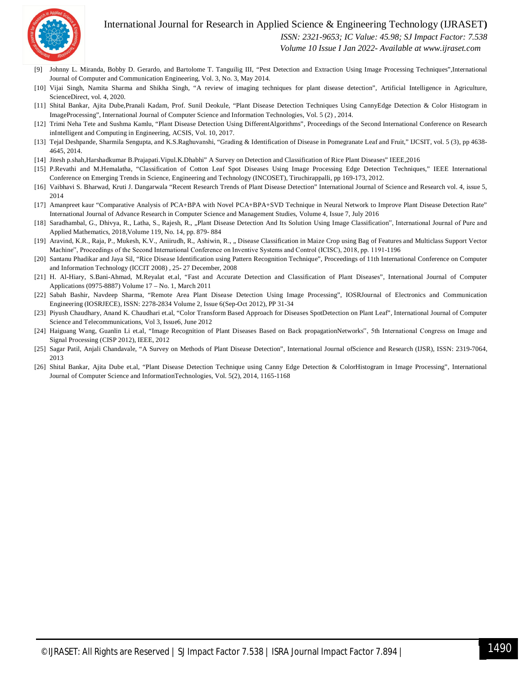#### International Journal for Research in Applied Science & Engineering Technology (IJRASET**)**



 *ISSN: 2321-9653; IC Value: 45.98; SJ Impact Factor: 7.538*

 *Volume 10 Issue I Jan 2022- Available at www.ijraset.com*

- [9] Johnny L. Miranda, Bobby D. Gerardo, and Bartolome T. Tanguilig III, "Pest Detection and Extraction Using Image Processing Techniques",International Journal of Computer and Communication Engineering, Vol. 3, No. 3, May 2014.
- [10] Vijai Singh, Namita Sharma and Shikha Singh, "A review of imaging techniques for plant disease detection", Artificial Intelligence in Agriculture, ScienceDirect, vol. 4, 2020.
- [11] Shital Bankar, Ajita Dube,Pranali Kadam, Prof. Sunil Deokule, "Plant Disease Detection Techniques Using CannyEdge Detection & Color Histogram in ImageProcessing", International Journal of Computer Science and Information Technologies, Vol. 5 (2) , 2014.
- [12] Trimi Neha Tete and Sushma Kamlu, "Plant Disease Detection Using DifferentAlgorithms", Proceedings of the Second International Conference on Research inIntelligent and Computing in Engineering, ACSIS, Vol. 10, 2017.
- [13] Tejal Deshpande, Sharmila Sengupta, and K.S.Raghuvanshi, "Grading & Identification of Disease in Pomegranate Leaf and Fruit," IJCSIT, vol. 5 (3), pp 4638- 4645, 2014.
- [14] Jitesh p.shah,Harshadkumar B.Prajapati.Vipul.K.Dhabhi" A Survey on Detection and Classification of Rice Plant Diseases" IEEE,2016
- [15] P.Revathi and M.Hemalatha, "Classification of Cotton Leaf Spot Diseases Using Image Processing Edge Detection Techniques," IEEE International Conference on Emerging Trends in Science, Engineering and Technology (INCOSET), Tiruchirappalli, pp 169-173, 2012.
- [16] Vaibhavi S. Bharwad, Kruti J. Dangarwala "Recent Research Trends of Plant Disease Detection" International Journal of Science and Research vol. 4, issue 5, 2014
- [17] Amanpreet kaur "Comparative Analysis of PCA+BPA with Novel PCA+BPA+SVD Technique in Neural Network to Improve Plant Disease Detection Rate" International Journal of Advance Research in Computer Science and Management Studies, Volume 4, Issue 7, July 2016
- [18] Saradhambal, G., Dhivya, R., Latha, S., Rajesh, R., "Plant Disease Detection And Its Solution Using Image Classification", International Journal of Pure and Applied Mathematics, 2018,Volume 119, No. 14, pp. 879- 884
- [19] Aravind, K.R., Raja, P., Mukesh, K.V., Aniirudh, R., Ashiwin, R., ., Disease Classification in Maize Crop using Bag of Features and Multiclass Support Vector Machine", Proceedings of the Second International Conference on Inventive Systems and Control (ICISC), 2018, pp. 1191-1196
- [20] Santanu Phadikar and Jaya Sil, "Rice Disease Identification using Pattern Recognition Technique", Proceedings of 11th International Conference on Computer and Information Technology (ICCIT 2008) , 25- 27 December, 2008
- [21] H. Al-Hiary, S.Bani-Ahmad, M.Reyalat et.al, "Fast and Accurate Detection and Classification of Plant Diseases", International Journal of Computer Applications (0975-8887) Volume 17 – No. 1, March 2011
- [22] Sabah Bashir, Navdeep Sharma, "Remote Area Plant Disease Detection Using Image Processing", IOSRJournal of Electronics and Communication Engineering (IOSRJECE), ISSN: 2278-2834 Volume 2, Issue 6(Sep-Oct 2012), PP 31-34
- [23] Piyush Chaudhary, Anand K. Chaudhari et.al, "Color Transform Based Approach for Diseases SpotDetection on Plant Leaf", International Journal of Computer Science and Telecommunications, Vol 3, Issue6, June 2012
- [24] Haiguang Wang, Guanlin Li et.al, "Image Recognition of Plant Diseases Based on Back propagationNetworks", 5th International Congress on Image and Signal Processing (CISP 2012), IEEE, 2012
- [25] Sagar Patil, Anjali Chandavale, "A Survey on Methods of Plant Disease Detection", International Journal ofScience and Research (IJSR), ISSN: 2319-7064, 2013
- [26] Shital Bankar, Ajita Dube et.al, "Plant Disease Detection Technique using Canny Edge Detection & ColorHistogram in Image Processing", International Journal of Computer Science and InformationTechnologies, Vol. 5(2), 2014, 1165-1168